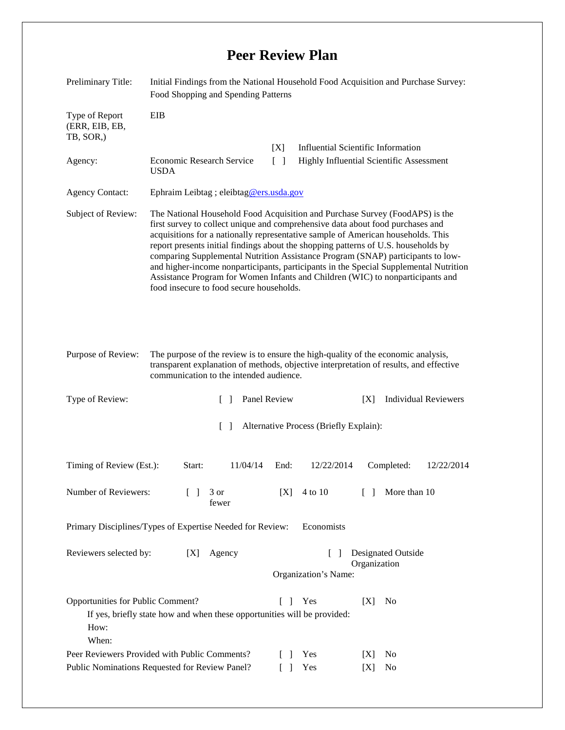## **Peer Review Plan**

| EIB<br>Type of Report<br>(ERR, EIB, EB,<br>TB, SOR,)<br><b>Influential Scientific Information</b><br>[X]<br><b>Economic Research Service</b><br>$\lceil \rceil$<br>Agency:<br><b>Highly Influential Scientific Assessment</b><br><b>USDA</b><br>Ephraim Leibtag ; eleibtag@ers.usda.gov<br><b>Agency Contact:</b><br>The National Household Food Acquisition and Purchase Survey (FoodAPS) is the<br>Subject of Review:<br>first survey to collect unique and comprehensive data about food purchases and<br>acquisitions for a nationally representative sample of American households. This<br>report presents initial findings about the shopping patterns of U.S. households by<br>comparing Supplemental Nutrition Assistance Program (SNAP) participants to low-<br>and higher-income nonparticipants, participants in the Special Supplemental Nutrition<br>Assistance Program for Women Infants and Children (WIC) to nonparticipants and<br>food insecure to food secure households.<br>Purpose of Review:<br>The purpose of the review is to ensure the high-quality of the economic analysis,<br>transparent explanation of methods, objective interpretation of results, and effective<br>communication to the intended audience.<br>Type of Review:<br>Panel Review<br><b>Individual Reviewers</b><br>[X]<br>$\mathbf{L}$<br>$\lceil \rceil$<br>Alternative Process (Briefly Explain):<br>Completed:<br>Timing of Review (Est.):<br>Start:<br>11/04/14<br>End:<br>12/22/2014<br>12/22/2014<br>Number of Reviewers:<br>4 to 10<br>More than 10<br>3 or<br>[X]<br>$\Box$<br>$\mathbf{L}$<br>fewer<br>Primary Disciplines/Types of Expertise Needed for Review:<br>Economists<br>Reviewers selected by:<br>Designated Outside<br>Agency<br>[X]<br>$\lceil \; \rceil$<br>Organization<br>Organization's Name:<br>Opportunities for Public Comment?<br>Yes<br>[X]<br>N <sub>0</sub><br>$\perp$<br>If yes, briefly state how and when these opportunities will be provided:<br>How:<br>When:<br>Peer Reviewers Provided with Public Comments?<br>Yes<br>No<br>$\Box$<br> X | Preliminary Title:                             | Initial Findings from the National Household Food Acquisition and Purchase Survey:<br>Food Shopping and Spending Patterns |  |  |     |     |                |  |  |
|-----------------------------------------------------------------------------------------------------------------------------------------------------------------------------------------------------------------------------------------------------------------------------------------------------------------------------------------------------------------------------------------------------------------------------------------------------------------------------------------------------------------------------------------------------------------------------------------------------------------------------------------------------------------------------------------------------------------------------------------------------------------------------------------------------------------------------------------------------------------------------------------------------------------------------------------------------------------------------------------------------------------------------------------------------------------------------------------------------------------------------------------------------------------------------------------------------------------------------------------------------------------------------------------------------------------------------------------------------------------------------------------------------------------------------------------------------------------------------------------------------------------------------------------------------------------------------------------------------------------------------------------------------------------------------------------------------------------------------------------------------------------------------------------------------------------------------------------------------------------------------------------------------------------------------------------------------------------------------------------------------------------------------------------------------------------------------------|------------------------------------------------|---------------------------------------------------------------------------------------------------------------------------|--|--|-----|-----|----------------|--|--|
|                                                                                                                                                                                                                                                                                                                                                                                                                                                                                                                                                                                                                                                                                                                                                                                                                                                                                                                                                                                                                                                                                                                                                                                                                                                                                                                                                                                                                                                                                                                                                                                                                                                                                                                                                                                                                                                                                                                                                                                                                                                                                   |                                                |                                                                                                                           |  |  |     |     |                |  |  |
|                                                                                                                                                                                                                                                                                                                                                                                                                                                                                                                                                                                                                                                                                                                                                                                                                                                                                                                                                                                                                                                                                                                                                                                                                                                                                                                                                                                                                                                                                                                                                                                                                                                                                                                                                                                                                                                                                                                                                                                                                                                                                   |                                                |                                                                                                                           |  |  |     |     |                |  |  |
|                                                                                                                                                                                                                                                                                                                                                                                                                                                                                                                                                                                                                                                                                                                                                                                                                                                                                                                                                                                                                                                                                                                                                                                                                                                                                                                                                                                                                                                                                                                                                                                                                                                                                                                                                                                                                                                                                                                                                                                                                                                                                   |                                                |                                                                                                                           |  |  |     |     |                |  |  |
|                                                                                                                                                                                                                                                                                                                                                                                                                                                                                                                                                                                                                                                                                                                                                                                                                                                                                                                                                                                                                                                                                                                                                                                                                                                                                                                                                                                                                                                                                                                                                                                                                                                                                                                                                                                                                                                                                                                                                                                                                                                                                   |                                                |                                                                                                                           |  |  |     |     |                |  |  |
|                                                                                                                                                                                                                                                                                                                                                                                                                                                                                                                                                                                                                                                                                                                                                                                                                                                                                                                                                                                                                                                                                                                                                                                                                                                                                                                                                                                                                                                                                                                                                                                                                                                                                                                                                                                                                                                                                                                                                                                                                                                                                   |                                                |                                                                                                                           |  |  |     |     |                |  |  |
|                                                                                                                                                                                                                                                                                                                                                                                                                                                                                                                                                                                                                                                                                                                                                                                                                                                                                                                                                                                                                                                                                                                                                                                                                                                                                                                                                                                                                                                                                                                                                                                                                                                                                                                                                                                                                                                                                                                                                                                                                                                                                   |                                                |                                                                                                                           |  |  |     |     |                |  |  |
|                                                                                                                                                                                                                                                                                                                                                                                                                                                                                                                                                                                                                                                                                                                                                                                                                                                                                                                                                                                                                                                                                                                                                                                                                                                                                                                                                                                                                                                                                                                                                                                                                                                                                                                                                                                                                                                                                                                                                                                                                                                                                   |                                                |                                                                                                                           |  |  |     |     |                |  |  |
|                                                                                                                                                                                                                                                                                                                                                                                                                                                                                                                                                                                                                                                                                                                                                                                                                                                                                                                                                                                                                                                                                                                                                                                                                                                                                                                                                                                                                                                                                                                                                                                                                                                                                                                                                                                                                                                                                                                                                                                                                                                                                   |                                                |                                                                                                                           |  |  |     |     |                |  |  |
|                                                                                                                                                                                                                                                                                                                                                                                                                                                                                                                                                                                                                                                                                                                                                                                                                                                                                                                                                                                                                                                                                                                                                                                                                                                                                                                                                                                                                                                                                                                                                                                                                                                                                                                                                                                                                                                                                                                                                                                                                                                                                   |                                                |                                                                                                                           |  |  |     |     |                |  |  |
|                                                                                                                                                                                                                                                                                                                                                                                                                                                                                                                                                                                                                                                                                                                                                                                                                                                                                                                                                                                                                                                                                                                                                                                                                                                                                                                                                                                                                                                                                                                                                                                                                                                                                                                                                                                                                                                                                                                                                                                                                                                                                   |                                                |                                                                                                                           |  |  |     |     |                |  |  |
|                                                                                                                                                                                                                                                                                                                                                                                                                                                                                                                                                                                                                                                                                                                                                                                                                                                                                                                                                                                                                                                                                                                                                                                                                                                                                                                                                                                                                                                                                                                                                                                                                                                                                                                                                                                                                                                                                                                                                                                                                                                                                   |                                                |                                                                                                                           |  |  |     |     |                |  |  |
|                                                                                                                                                                                                                                                                                                                                                                                                                                                                                                                                                                                                                                                                                                                                                                                                                                                                                                                                                                                                                                                                                                                                                                                                                                                                                                                                                                                                                                                                                                                                                                                                                                                                                                                                                                                                                                                                                                                                                                                                                                                                                   |                                                |                                                                                                                           |  |  |     |     |                |  |  |
|                                                                                                                                                                                                                                                                                                                                                                                                                                                                                                                                                                                                                                                                                                                                                                                                                                                                                                                                                                                                                                                                                                                                                                                                                                                                                                                                                                                                                                                                                                                                                                                                                                                                                                                                                                                                                                                                                                                                                                                                                                                                                   | Public Nominations Requested for Review Panel? |                                                                                                                           |  |  | Yes | [X] | N <sub>o</sub> |  |  |